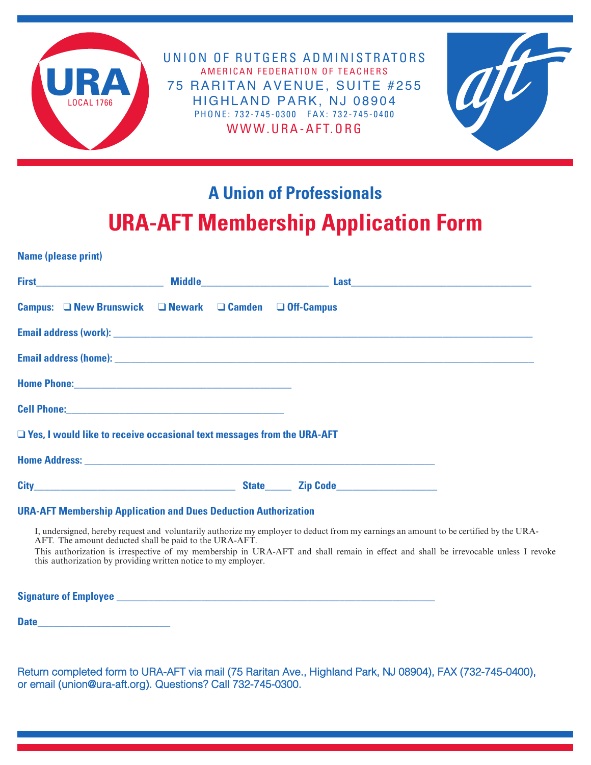

UNION OF RUTGERS ADMINISTRATORS AMERICAN FEDERATION OF TEACHERS 75 RARITAN AVENUE, SUITE #255 HIGHLAND PARK, NJ 08904 PHONE: 732-745-0300 FAX: 732-745-0400 WWW.URA-AFT.ORG



## **A Union of Professionals URA-AFT Membership Application Form** mommoromp reprior

|                                                                               |  | <b>UTH AT LIBRARY SHIP APPROACH LUTH</b>                                                                                                                                                                                       |  |
|-------------------------------------------------------------------------------|--|--------------------------------------------------------------------------------------------------------------------------------------------------------------------------------------------------------------------------------|--|
| <b>Name (please print)</b>                                                    |  |                                                                                                                                                                                                                                |  |
|                                                                               |  |                                                                                                                                                                                                                                |  |
| Campus: □ New Brunswick □ Newark □ Camden □ Off-Campus                        |  |                                                                                                                                                                                                                                |  |
|                                                                               |  |                                                                                                                                                                                                                                |  |
|                                                                               |  |                                                                                                                                                                                                                                |  |
|                                                                               |  |                                                                                                                                                                                                                                |  |
|                                                                               |  |                                                                                                                                                                                                                                |  |
| $\Box$ Yes, I would like to receive occasional text messages from the URA-AFT |  |                                                                                                                                                                                                                                |  |
|                                                                               |  |                                                                                                                                                                                                                                |  |
|                                                                               |  | City Contact City Contact City Contact City Contact City Contact City Contact City Contact City Contact City Contact City Contact City Contact City Contact City Contact City Contact City Contact City Contact City Contact C |  |

## **URA-AFT Membership Application and Dues Deduction Authorization**

I, undersigned, hereby request and voluntarily authorize my employer to deduct from my earnings an amount to be certified by the URA-AFT. The amount deducted shall be paid to the URA-AFT.

This authorization is irrespective of my membership in URA-AFT and shall remain in effect and shall be irrevocable unless I revoke this authorization by providing written notice to my employer.

**Signature of Employee Example 2008** 

**Date\_\_\_\_\_\_\_\_\_\_\_\_\_\_\_\_\_\_\_\_\_\_\_\_\_**

Return completed form to URA-AFT via mail (75 Raritan Ave., Highland Park, NJ 08904), FAX (732-745-0400), or email (union@ura-aft.org). Questions? Call 732-745-0300.